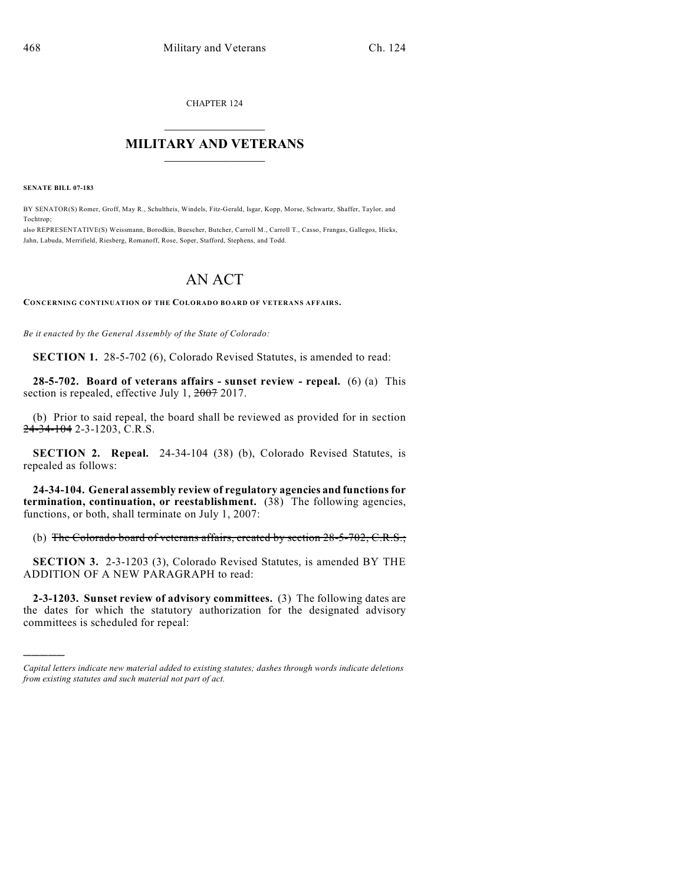CHAPTER 124

## $\mathcal{L}_\text{max}$  . The set of the set of the set of the set of the set of the set of the set of the set of the set of the set of the set of the set of the set of the set of the set of the set of the set of the set of the set **MILITARY AND VETERANS**  $\frac{1}{2}$  ,  $\frac{1}{2}$  ,  $\frac{1}{2}$  ,  $\frac{1}{2}$  ,  $\frac{1}{2}$  ,  $\frac{1}{2}$  ,  $\frac{1}{2}$

**SENATE BILL 07-183**

)))))

BY SENATOR(S) Romer, Groff, May R., Schultheis, Windels, Fitz-Gerald, Isgar, Kopp, Morse, Schwartz, Shaffer, Taylor, and Tochtrop;

also REPRESENTATIVE(S) Weissmann, Borodkin, Buescher, Butcher, Carroll M., Carroll T., Casso, Frangas, Gallegos, Hicks, Jahn, Labuda, Merrifield, Riesberg, Romanoff, Rose, Soper, Stafford, Stephens, and Todd.

## AN ACT

**CONCERNING CONTINUATION OF THE COLORADO BOARD OF VETERANS AFFAIRS.**

*Be it enacted by the General Assembly of the State of Colorado:*

**SECTION 1.** 28-5-702 (6), Colorado Revised Statutes, is amended to read:

**28-5-702. Board of veterans affairs - sunset review - repeal.** (6) (a) This section is repealed, effective July 1, 2007 2017.

(b) Prior to said repeal, the board shall be reviewed as provided for in section 24-34-104 2-3-1203, C.R.S.

**SECTION 2. Repeal.** 24-34-104 (38) (b), Colorado Revised Statutes, is repealed as follows:

**24-34-104. General assembly review of regulatory agencies and functions for termination, continuation, or reestablishment.** (38) The following agencies, functions, or both, shall terminate on July 1, 2007:

(b) The Colorado board of veterans affairs, created by section 28-5-702, C.R.S.;

**SECTION 3.** 2-3-1203 (3), Colorado Revised Statutes, is amended BY THE ADDITION OF A NEW PARAGRAPH to read:

**2-3-1203. Sunset review of advisory committees.** (3) The following dates are the dates for which the statutory authorization for the designated advisory committees is scheduled for repeal:

*Capital letters indicate new material added to existing statutes; dashes through words indicate deletions from existing statutes and such material not part of act.*